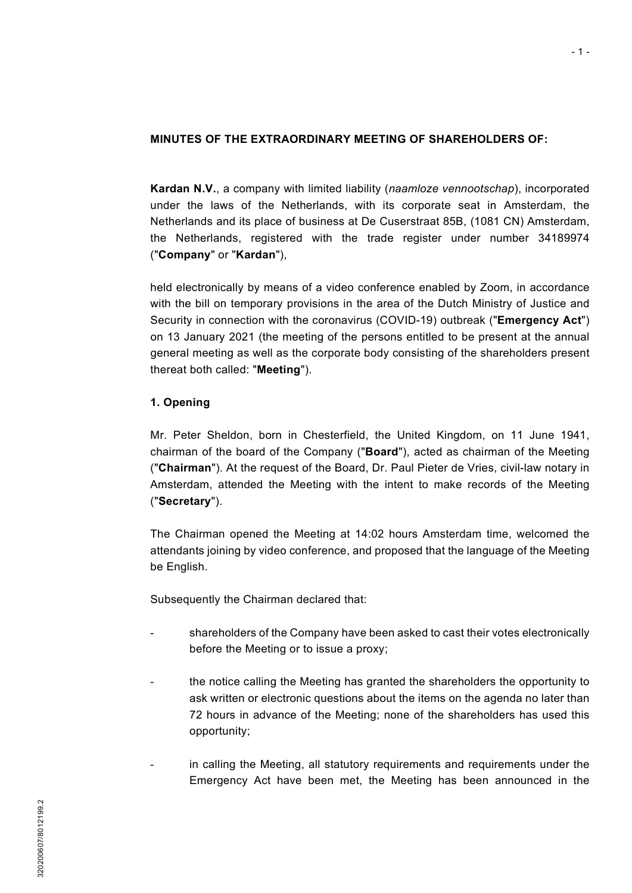### **MINUTES OF THE EXTRAORDINARY MEETING OF SHAREHOLDERS OF:**

**Kardan N.V.**, a company with limited liability (*naamloze vennootschap*), incorporated under the laws of the Netherlands, with its corporate seat in Amsterdam, the Netherlands and its place of business at De Cuserstraat 85B, (1081 CN) Amsterdam, the Netherlands, registered with the trade register under number 34189974 ("**Company**" or "**Kardan**"),

held electronically by means of a video conference enabled by Zoom, in accordance with the bill on temporary provisions in the area of the Dutch Ministry of Justice and Security in connection with the coronavirus (COVID-19) outbreak ("**Emergency Act**") on 13 January 2021 (the meeting of the persons entitled to be present at the annual general meeting as well as the corporate body consisting of the shareholders present thereat both called: "**Meeting**").

## **1. Opening**

Mr. Peter Sheldon, born in Chesterfield, the United Kingdom, on 11 June 1941, chairman of the board of the Company ("**Board**"), acted as chairman of the Meeting ("**Chairman**"). At the request of the Board, Dr. Paul Pieter de Vries, civil-law notary in Amsterdam, attended the Meeting with the intent to make records of the Meeting ("**Secretary**").

The Chairman opened the Meeting at 14:02 hours Amsterdam time, welcomed the attendants joining by video conference, and proposed that the language of the Meeting be English.

Subsequently the Chairman declared that:

- shareholders of the Company have been asked to cast their votes electronically before the Meeting or to issue a proxy;
- the notice calling the Meeting has granted the shareholders the opportunity to ask written or electronic questions about the items on the agenda no later than 72 hours in advance of the Meeting; none of the shareholders has used this opportunity;
- in calling the Meeting, all statutory requirements and requirements under the Emergency Act have been met, the Meeting has been announced in the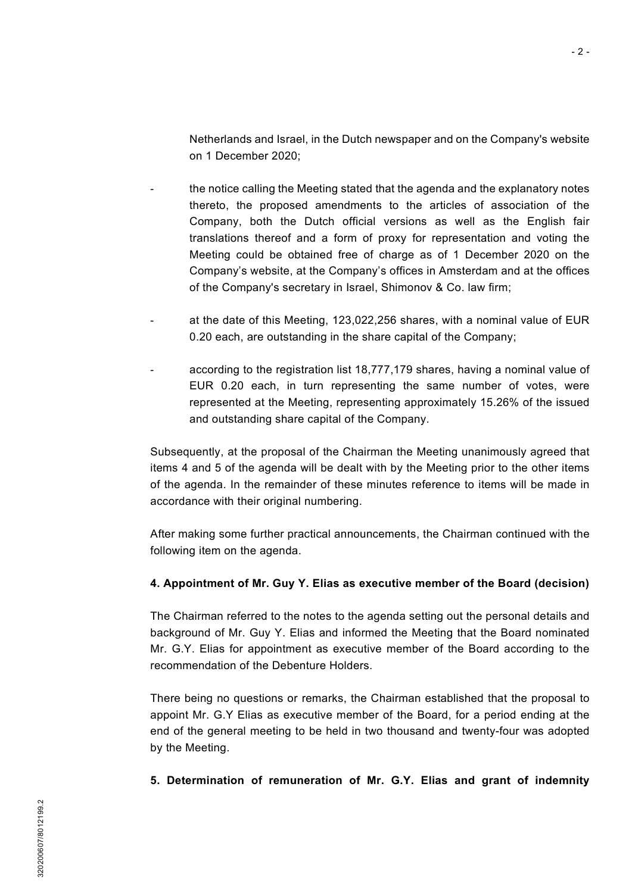Netherlands and Israel, in the Dutch newspaper and on the Company's website on 1 December 2020;

- the notice calling the Meeting stated that the agenda and the explanatory notes thereto, the proposed amendments to the articles of association of the Company, both the Dutch official versions as well as the English fair translations thereof and a form of proxy for representation and voting the Meeting could be obtained free of charge as of 1 December 2020 on the Company's website, at the Company's offices in Amsterdam and at the offices of the Company's secretary in Israel, Shimonov & Co. law firm;
- at the date of this Meeting, 123,022,256 shares, with a nominal value of EUR 0.20 each, are outstanding in the share capital of the Company;
- according to the registration list 18,777,179 shares, having a nominal value of EUR 0.20 each, in turn representing the same number of votes, were represented at the Meeting, representing approximately 15.26% of the issued and outstanding share capital of the Company.

Subsequently, at the proposal of the Chairman the Meeting unanimously agreed that items 4 and 5 of the agenda will be dealt with by the Meeting prior to the other items of the agenda. In the remainder of these minutes reference to items will be made in accordance with their original numbering.

After making some further practical announcements, the Chairman continued with the following item on the agenda.

## **4. Appointment of Mr. Guy Y. Elias as executive member of the Board (decision)**

The Chairman referred to the notes to the agenda setting out the personal details and background of Mr. Guy Y. Elias and informed the Meeting that the Board nominated Mr. G.Y. Elias for appointment as executive member of the Board according to the recommendation of the Debenture Holders.

There being no questions or remarks, the Chairman established that the proposal to appoint Mr. G.Y Elias as executive member of the Board, for a period ending at the end of the general meeting to be held in two thousand and twenty-four was adopted by the Meeting.

**5. Determination of remuneration of Mr. G.Y. Elias and grant of indemnity**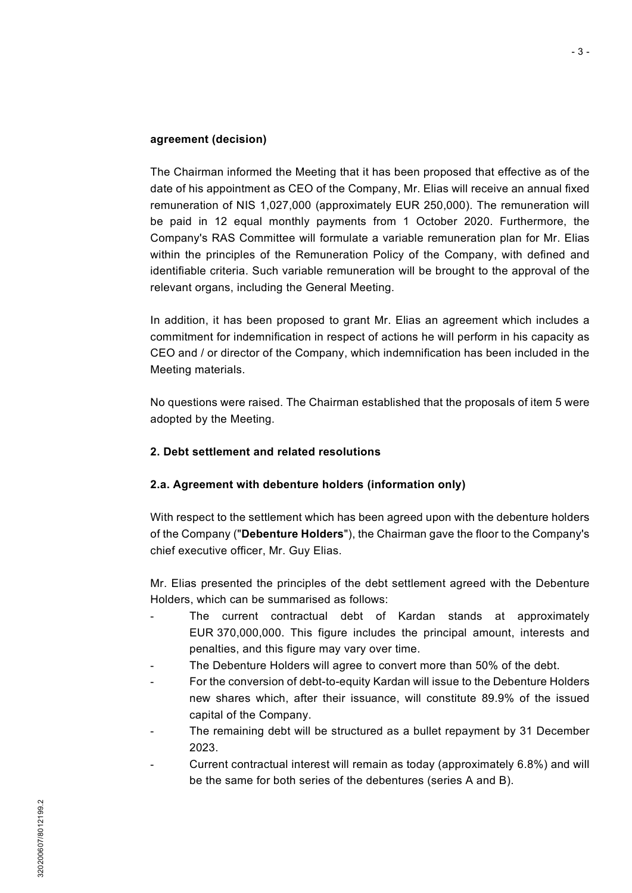#### **agreement (decision)**

The Chairman informed the Meeting that it has been proposed that effective as of the date of his appointment as CEO of the Company, Mr. Elias will receive an annual fixed remuneration of NIS 1,027,000 (approximately EUR 250,000). The remuneration will be paid in 12 equal monthly payments from 1 October 2020. Furthermore, the Company's RAS Committee will formulate a variable remuneration plan for Mr. Elias within the principles of the Remuneration Policy of the Company, with defined and identifiable criteria. Such variable remuneration will be brought to the approval of the relevant organs, including the General Meeting.

In addition, it has been proposed to grant Mr. Elias an agreement which includes a commitment for indemnification in respect of actions he will perform in his capacity as CEO and / or director of the Company, which indemnification has been included in the Meeting materials.

No questions were raised. The Chairman established that the proposals of item 5 were adopted by the Meeting.

### **2. Debt settlement and related resolutions**

### **2.a. Agreement with debenture holders (information only)**

With respect to the settlement which has been agreed upon with the debenture holders of the Company ("**Debenture Holders**"), the Chairman gave the floor to the Company's chief executive officer, Mr. Guy Elias.

Mr. Elias presented the principles of the debt settlement agreed with the Debenture Holders, which can be summarised as follows:

- The current contractual debt of Kardan stands at approximately EUR 370,000,000. This figure includes the principal amount, interests and penalties, and this figure may vary over time.
- The Debenture Holders will agree to convert more than 50% of the debt.
- For the conversion of debt-to-equity Kardan will issue to the Debenture Holders new shares which, after their issuance, will constitute 89.9% of the issued capital of the Company.
- The remaining debt will be structured as a bullet repayment by 31 December 2023.
- Current contractual interest will remain as today (approximately 6.8%) and will be the same for both series of the debentures (series A and B).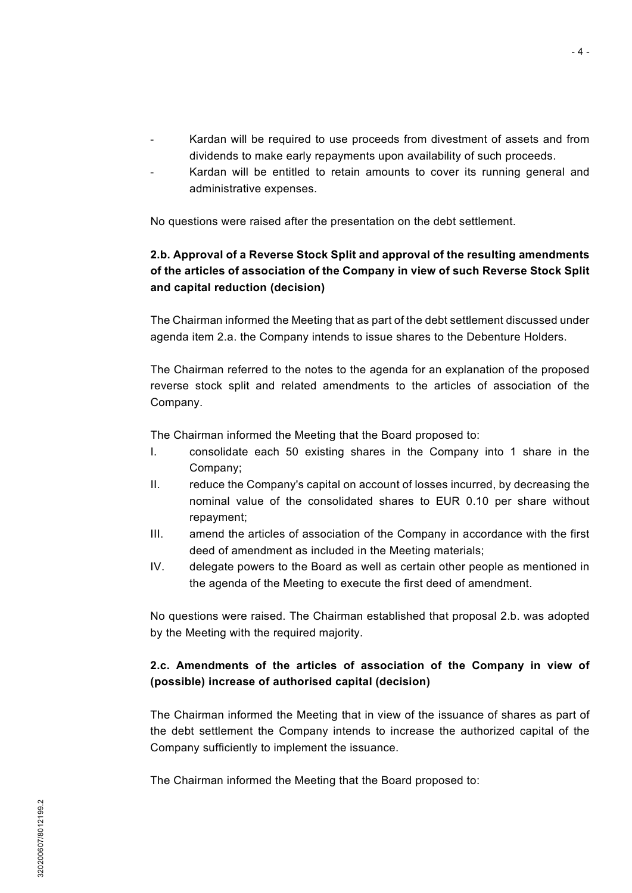- Kardan will be required to use proceeds from divestment of assets and from dividends to make early repayments upon availability of such proceeds.
- Kardan will be entitled to retain amounts to cover its running general and administrative expenses.

No questions were raised after the presentation on the debt settlement.

# **2.b. Approval of a Reverse Stock Split and approval of the resulting amendments of the articles of association of the Company in view of such Reverse Stock Split and capital reduction (decision)**

The Chairman informed the Meeting that as part of the debt settlement discussed under agenda item 2.a. the Company intends to issue shares to the Debenture Holders.

The Chairman referred to the notes to the agenda for an explanation of the proposed reverse stock split and related amendments to the articles of association of the Company.

The Chairman informed the Meeting that the Board proposed to:

- I. consolidate each 50 existing shares in the Company into 1 share in the Company;
- II. reduce the Company's capital on account of losses incurred, by decreasing the nominal value of the consolidated shares to EUR 0.10 per share without repayment;
- III. amend the articles of association of the Company in accordance with the first deed of amendment as included in the Meeting materials;
- IV. delegate powers to the Board as well as certain other people as mentioned in the agenda of the Meeting to execute the first deed of amendment.

No questions were raised. The Chairman established that proposal 2.b. was adopted by the Meeting with the required majority.

# **2.c. Amendments of the articles of association of the Company in view of (possible) increase of authorised capital (decision)**

The Chairman informed the Meeting that in view of the issuance of shares as part of the debt settlement the Company intends to increase the authorized capital of the Company sufficiently to implement the issuance.

The Chairman informed the Meeting that the Board proposed to: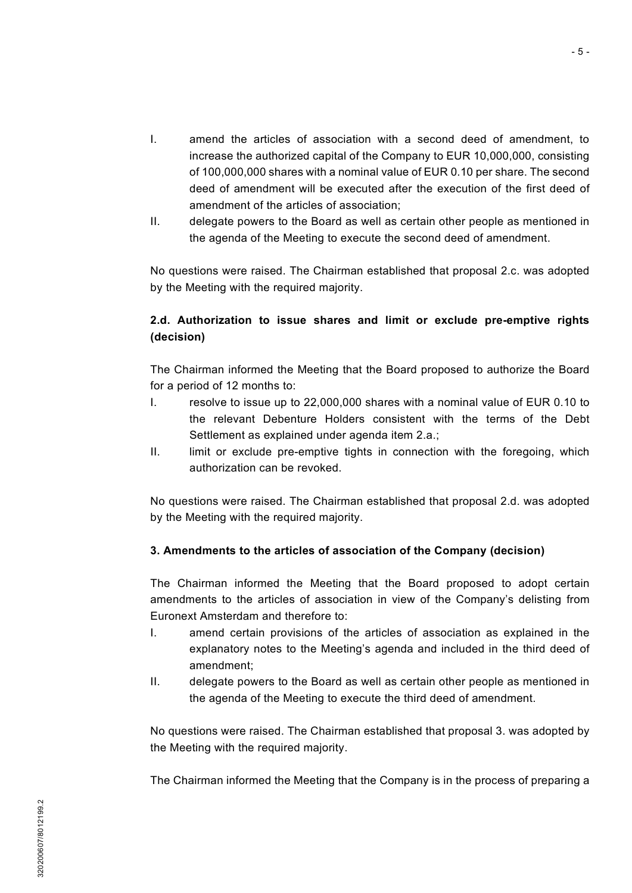- I. amend the articles of association with a second deed of amendment, to increase the authorized capital of the Company to EUR 10,000,000, consisting of 100,000,000 shares with a nominal value of EUR 0.10 per share. The second deed of amendment will be executed after the execution of the first deed of amendment of the articles of association;
- II. delegate powers to the Board as well as certain other people as mentioned in the agenda of the Meeting to execute the second deed of amendment.

No questions were raised. The Chairman established that proposal 2.c. was adopted by the Meeting with the required majority.

# **2.d. Authorization to issue shares and limit or exclude pre-emptive rights (decision)**

The Chairman informed the Meeting that the Board proposed to authorize the Board for a period of 12 months to:

- I. resolve to issue up to 22,000,000 shares with a nominal value of EUR 0.10 to the relevant Debenture Holders consistent with the terms of the Debt Settlement as explained under agenda item 2.a.;
- II. limit or exclude pre-emptive tights in connection with the foregoing, which authorization can be revoked.

No questions were raised. The Chairman established that proposal 2.d. was adopted by the Meeting with the required majority.

## **3. Amendments to the articles of association of the Company (decision)**

The Chairman informed the Meeting that the Board proposed to adopt certain amendments to the articles of association in view of the Company's delisting from Euronext Amsterdam and therefore to:

- I. amend certain provisions of the articles of association as explained in the explanatory notes to the Meeting's agenda and included in the third deed of amendment;
- II. delegate powers to the Board as well as certain other people as mentioned in the agenda of the Meeting to execute the third deed of amendment.

No questions were raised. The Chairman established that proposal 3. was adopted by the Meeting with the required majority.

The Chairman informed the Meeting that the Company is in the process of preparing a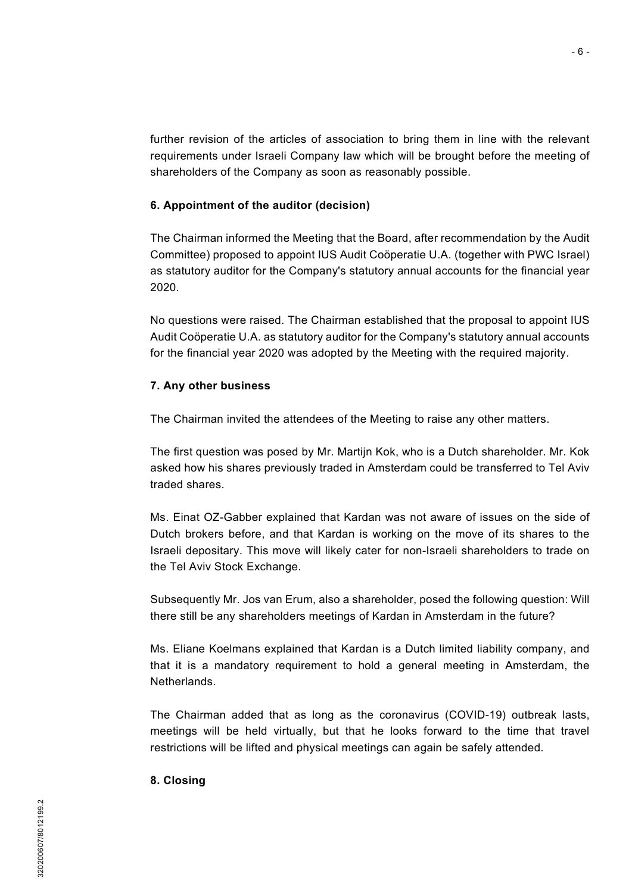further revision of the articles of association to bring them in line with the relevant requirements under Israeli Company law which will be brought before the meeting of shareholders of the Company as soon as reasonably possible.

#### **6. Appointment of the auditor (decision)**

The Chairman informed the Meeting that the Board, after recommendation by the Audit Committee) proposed to appoint IUS Audit Coöperatie U.A. (together with PWC Israel) as statutory auditor for the Company's statutory annual accounts for the financial year 2020.

No questions were raised. The Chairman established that the proposal to appoint IUS Audit Coöperatie U.A. as statutory auditor for the Company's statutory annual accounts for the financial year 2020 was adopted by the Meeting with the required majority.

#### **7. Any other business**

The Chairman invited the attendees of the Meeting to raise any other matters.

The first question was posed by Mr. Martijn Kok, who is a Dutch shareholder. Mr. Kok asked how his shares previously traded in Amsterdam could be transferred to Tel Aviv traded shares.

Ms. Einat OZ-Gabber explained that Kardan was not aware of issues on the side of Dutch brokers before, and that Kardan is working on the move of its shares to the Israeli depositary. This move will likely cater for non-Israeli shareholders to trade on the Tel Aviv Stock Exchange.

Subsequently Mr. Jos van Erum, also a shareholder, posed the following question: Will there still be any shareholders meetings of Kardan in Amsterdam in the future?

Ms. Eliane Koelmans explained that Kardan is a Dutch limited liability company, and that it is a mandatory requirement to hold a general meeting in Amsterdam, the **Netherlands** 

The Chairman added that as long as the coronavirus (COVID-19) outbreak lasts, meetings will be held virtually, but that he looks forward to the time that travel restrictions will be lifted and physical meetings can again be safely attended.

#### **8. Closing**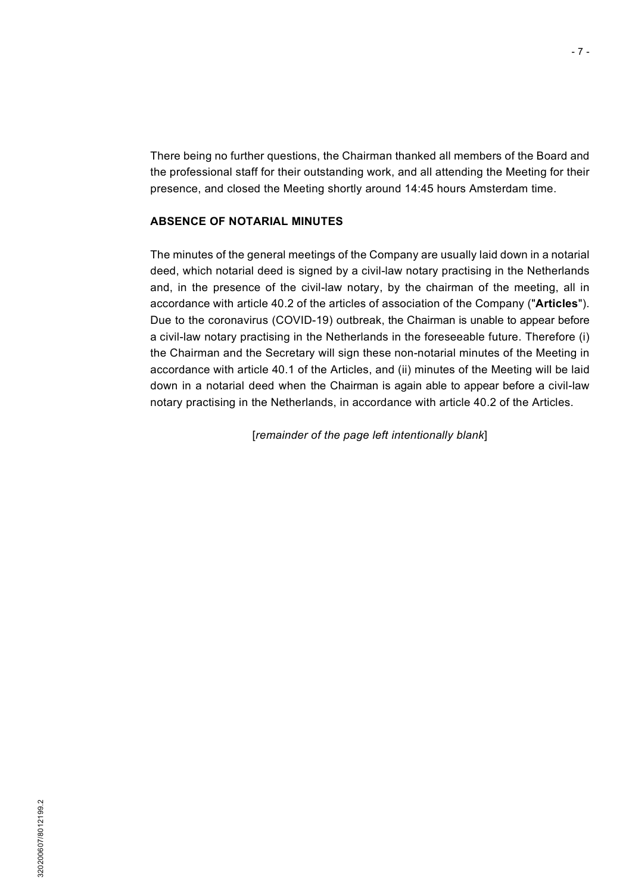There being no further questions, the Chairman thanked all members of the Board and the professional staff for their outstanding work, and all attending the Meeting for their presence, and closed the Meeting shortly around 14:45 hours Amsterdam time.

#### **ABSENCE OF NOTARIAL MINUTES**

The minutes of the general meetings of the Company are usually laid down in a notarial deed, which notarial deed is signed by a civil-law notary practising in the Netherlands and, in the presence of the civil-law notary, by the chairman of the meeting, all in accordance with article 40.2 of the articles of association of the Company ("**Articles**"). Due to the coronavirus (COVID-19) outbreak, the Chairman is unable to appear before a civil-law notary practising in the Netherlands in the foreseeable future. Therefore (i) the Chairman and the Secretary will sign these non-notarial minutes of the Meeting in accordance with article 40.1 of the Articles, and (ii) minutes of the Meeting will be laid down in a notarial deed when the Chairman is again able to appear before a civil-law notary practising in the Netherlands, in accordance with article 40.2 of the Articles.

[*remainder of the page left intentionally blank*]